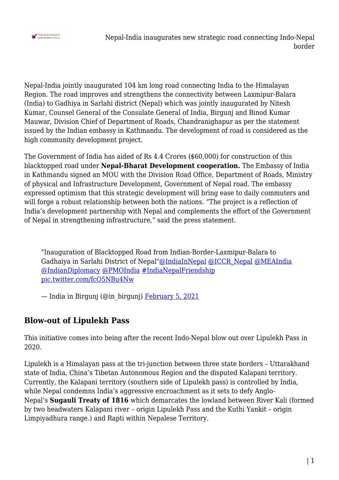

Nepal-India jointly inaugurated 104 km long road connecting India to the Himalayan Region. The road improves and strengthens the connectivity between Laxmipur-Balara (India) to Gadhiya in Sarlahi district (Nepal) which was jointly inaugurated by Nitesh Kumar, Counsel General of the Consulate General of India, Birgunj and Binod Kumar Mauwar, Division Chief of Department of Roads, Chandranighapur as per the statement issued by the Indian embassy in Kathmandu. The development of road is considered as the high community development project.

The Government of India has aided of Rs 4.4 Crores (\$60,000) for construction of this blacktopped road under **Nepal-Bharat Development cooperation.** The Embassy of India in Kathmandu signed an MOU with the Division Road Office, Department of Roads, Ministry of physical and Infrastructure Development, Government of Nepal road. The embassy expressed optimism that this strategic development will bring ease to daily commuters and will forge a robust relationship between both the nations. "The project is a reflection of India's development partnership with Nepal and complements the effort of the Government of Nepal in strengthening infrastructure," said the press statement.

"Inauguration of Blacktopped Road from Indian-Border-Laxmipur-Balara to Gadhaiya in Sarlahi District of Nepal"[@IndiaInNepal](https://twitter.com/IndiaInNepal?ref_src=twsrc%5Etfw) [@ICCR\\_Nepal](https://twitter.com/ICCR_Nepal?ref_src=twsrc%5Etfw) [@MEAIndia](https://twitter.com/MEAIndia?ref_src=twsrc%5Etfw) [@IndianDiplomacy](https://twitter.com/IndianDiplomacy?ref_src=twsrc%5Etfw) [@PMOIndia](https://twitter.com/PMOIndia?ref_src=twsrc%5Etfw) [#IndiaNepalFriendship](https://twitter.com/hashtag/IndiaNepalFriendship?src=hash&ref_src=twsrc%5Etfw) [pic.twitter.com/fcO5NBu4Nw](https://t.co/fcO5NBu4Nw)

— India in Birgunj (@in\_birgunj) [February 5, 2021](https://twitter.com/in_birgunj/status/1357736305782894592?ref_src=twsrc%5Etfw)

## **Blow-out of Lipulekh Pass**

This initiative comes into being after the recent Indo-Nepal blow out over Lipulekh Pass in 2020.

Lipulekh is a Himalayan pass at the tri-junction between three state borders – Uttarakhand state of India, China's Tibetan Autonomous Region and the disputed Kalapani territory. Currently, the Kalapani territory (southern side of Lipulekh pass) is controlled by India, while Nepal condemns India's aggressive encroachment as it sets to defy Anglo-Nepal's **Sugauli Treaty of 1816** which demarcates the lowland between River Kali (formed by two headwaters Kalapani river – origin Lipulekh Pass and the Kuthi Yankit – origin Limpiyadhura range.) and Rapti within Nepalese Territory.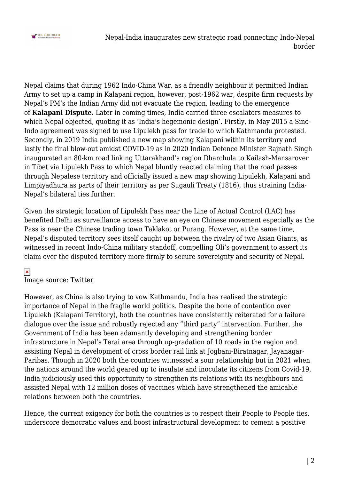

Nepal-India inaugurates new strategic road connecting Indo-Nepal border

Nepal claims that during 1962 Indo-China War, as a friendly neighbour it permitted Indian Army to set up a camp in Kalapani region, however, post-1962 war, despite firm requests by Nepal's PM's the Indian Army did not evacuate the region, leading to the emergence of **Kalapani Dispute.** Later in coming times, India carried three escalators measures to which Nepal objected, quoting it as 'India's hegemonic design'. Firstly, in May 2015 a Sino-Indo agreement was signed to use Lipulekh pass for trade to which Kathmandu protested. Secondly, in 2019 India published a new map showing Kalapani within its territory and lastly the final blow-out amidst COVID-19 as in 2020 Indian Defence Minister Rajnath Singh inaugurated an 80-km road linking Uttarakhand's region Dharchula to Kailash-Mansarover in Tibet via Lipulekh Pass to which Nepal bluntly reacted claiming that the road passes through Nepalese territory and officially issued a new map showing Lipulekh, Kalapani and Limpiyadhura as parts of their territory as per Sugauli Treaty (1816), thus straining India-Nepal's bilateral ties further.

Given the strategic location of Lipulekh Pass near the Line of Actual Control (LAC) has benefited Delhi as surveillance access to have an eye on Chinese movement especially as the Pass is near the Chinese trading town Taklakot or Purang. However, at the same time, Nepal's disputed territory sees itself caught up between the rivalry of two Asian Giants, as witnessed in recent Indo-China military standoff, compelling Oli's government to assert its claim over the disputed territory more firmly to secure sovereignty and security of Nepal.

## $\pmb{\times}$

Image source: Twitter

However, as China is also trying to vow Kathmandu, India has realised the strategic importance of Nepal in the fragile world politics. Despite the bone of contention over Lipulekh (Kalapani Territory), both the countries have consistently reiterated for a failure dialogue over the issue and robustly rejected any "third party" intervention. Further, the Government of India has been adamantly developing and strengthening border infrastructure in Nepal's Terai area through up-gradation of 10 roads in the region and assisting Nepal in development of cross border rail link at Jogbani-Biratnagar, Jayanagar-Paribas. Though in 2020 both the countries witnessed a sour relationship but in 2021 when the nations around the world geared up to insulate and inoculate its citizens from Covid-19, India judiciously used this opportunity to strengthen its relations with its neighbours and assisted Nepal with 12 million doses of vaccines which have strengthened the amicable relations between both the countries.

Hence, the current exigency for both the countries is to respect their People to People ties, underscore democratic values and boost infrastructural development to cement a positive